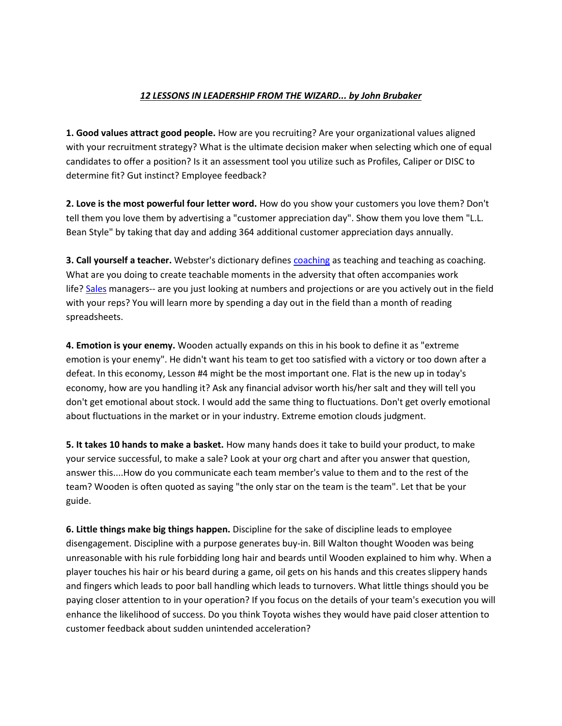## *12 LESSONS IN LEADERSHIP FROM THE WIZARD... by John Brubaker*

**1. Good values attract good people.** How are you recruiting? Are your organizational values aligned with your recruitment strategy? What is the ultimate decision maker when selecting which one of equal candidates to offer a position? Is it an assessment tool you utilize such as Profiles, Caliper or DISC to determine fit? Gut instinct? Employee feedback?

**2. Love is the most powerful four letter word.** How do you show your customers you love them? Don't tell them you love them by advertising a "customer appreciation day". Show them you love them "L.L. Bean Style" by taking that day and adding 364 additional customer appreciation days annually.

**3. Call yourself a teacher.** Webster's dictionary defines [coaching](http://www.evancarmichael.com/Business-Coach/5480/Overcoming-Game-Day-Conditions-in-Business.html) as teaching and teaching as coaching. What are you doing to create teachable moments in the adversity that often accompanies work life? [Sales](http://www.evancarmichael.com/Business-Coach/5480/12-Lessons-in-Leadership-Part-Two.html) managers-- are you just looking at numbers and projections or are you actively out in the field with your reps? You will learn more by spending a day out in the field than a month of reading spreadsheets.

**4. Emotion is your enemy.** Wooden actually expands on this in his book to define it as "extreme emotion is your enemy". He didn't want his team to get too satisfied with a victory or too down after a defeat. In this economy, Lesson #4 might be the most important one. Flat is the new up in today's economy, how are you handling it? Ask any financial advisor worth his/her salt and they will tell you don't get emotional about stock. I would add the same thing to fluctuations. Don't get overly emotional about fluctuations in the market or in your industry. Extreme emotion clouds judgment.

**5. It takes 10 hands to make a basket.** How many hands does it take to build your product, to make your service successful, to make a sale? Look at your org chart and after you answer that question, answer this....How do you communicate each team member's value to them and to the rest of the team? Wooden is often quoted as saying "the only star on the team is the team". Let that be your guide.

**6. Little things make big things happen.** Discipline for the sake of discipline leads to employee disengagement. Discipline with a purpose generates buy-in. Bill Walton thought Wooden was being unreasonable with his rule forbidding long hair and beards until Wooden explained to him why. When a player touches his hair or his beard during a game, oil gets on his hands and this creates slippery hands and fingers which leads to poor ball handling which leads to turnovers. What little things should you be paying closer attention to in your operation? If you focus on the details of your team's execution you will enhance the likelihood of success. Do you think Toyota wishes they would have paid closer attention to customer feedback about sudden unintended acceleration?